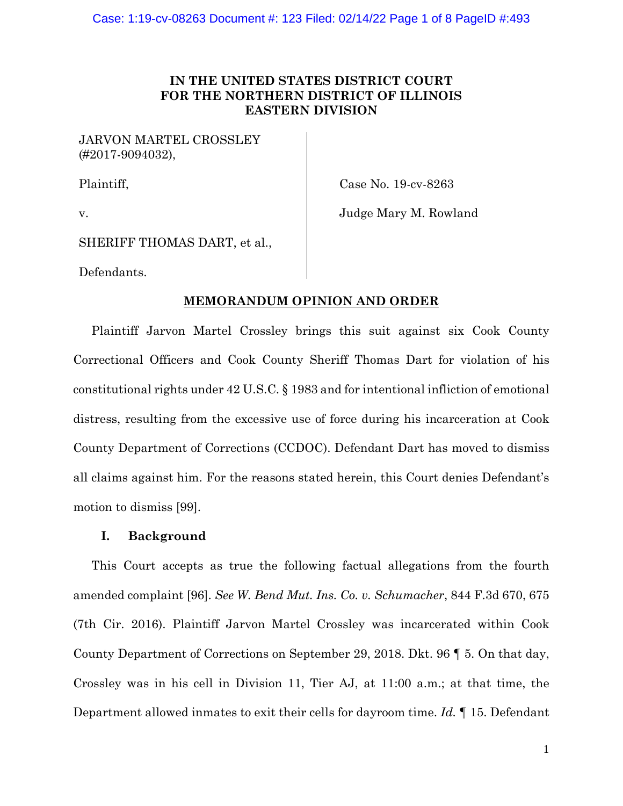# **IN THE UNITED STATES DISTRICT COURT FOR THE NORTHERN DISTRICT OF ILLINOIS EASTERN DIVISION**

JARVON MARTEL CROSSLEY (#2017-9094032),

Plaintiff,

Case No. 19-cv-8263

v.

Judge Mary M. Rowland

SHERIFF THOMAS DART, et al.,

Defendants.

## **MEMORANDUM OPINION AND ORDER**

Plaintiff Jarvon Martel Crossley brings this suit against six Cook County Correctional Officers and Cook County Sheriff Thomas Dart for violation of his constitutional rights under 42 U.S.C. § 1983 and for intentional infliction of emotional distress, resulting from the excessive use of force during his incarceration at Cook County Department of Corrections (CCDOC). Defendant Dart has moved to dismiss all claims against him. For the reasons stated herein, this Court denies Defendant's motion to dismiss [99].

## **I. Background**

This Court accepts as true the following factual allegations from the fourth amended complaint [96]. *See W. Bend Mut. Ins. Co. v. Schumacher*, 844 F.3d 670, 675 (7th Cir. 2016). Plaintiff Jarvon Martel Crossley was incarcerated within Cook County Department of Corrections on September 29, 2018. Dkt. 96 ¶ 5. On that day, Crossley was in his cell in Division 11, Tier AJ, at 11:00 a.m.; at that time, the Department allowed inmates to exit their cells for dayroom time. *Id.* ¶ 15. Defendant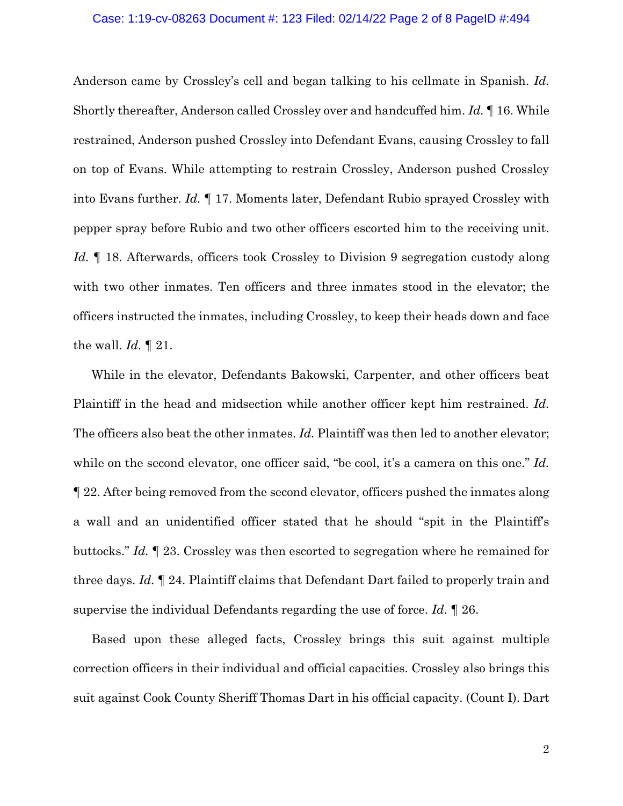#### Case: 1:19-cv-08263 Document #: 123 Filed: 02/14/22 Page 2 of 8 PageID #:494

Anderson came by Crossley's cell and began talking to his cellmate in Spanish. *Id.*  Shortly thereafter, Anderson called Crossley over and handcuffed him. *Id.* ¶ 16. While restrained, Anderson pushed Crossley into Defendant Evans, causing Crossley to fall on top of Evans. While attempting to restrain Crossley, Anderson pushed Crossley into Evans further. *Id.* ¶ 17. Moments later, Defendant Rubio sprayed Crossley with pepper spray before Rubio and two other officers escorted him to the receiving unit. *Id.* ¶ 18. Afterwards, officers took Crossley to Division 9 segregation custody along with two other inmates. Ten officers and three inmates stood in the elevator; the officers instructed the inmates, including Crossley, to keep their heads down and face the wall. *Id.* ¶ 21.

While in the elevator, Defendants Bakowski, Carpenter, and other officers beat Plaintiff in the head and midsection while another officer kept him restrained. *Id.* The officers also beat the other inmates. *Id.* Plaintiff was then led to another elevator; while on the second elevator, one officer said, "be cool, it's a camera on this one." *Id.* ¶ 22. After being removed from the second elevator, officers pushed the inmates along a wall and an unidentified officer stated that he should "spit in the Plaintiff's buttocks." *Id.* ¶ 23. Crossley was then escorted to segregation where he remained for three days. *Id.* ¶ 24. Plaintiff claims that Defendant Dart failed to properly train and supervise the individual Defendants regarding the use of force. *Id.* ¶ 26.

Based upon these alleged facts, Crossley brings this suit against multiple correction officers in their individual and official capacities. Crossley also brings this suit against Cook County Sheriff Thomas Dart in his official capacity. (Count I). Dart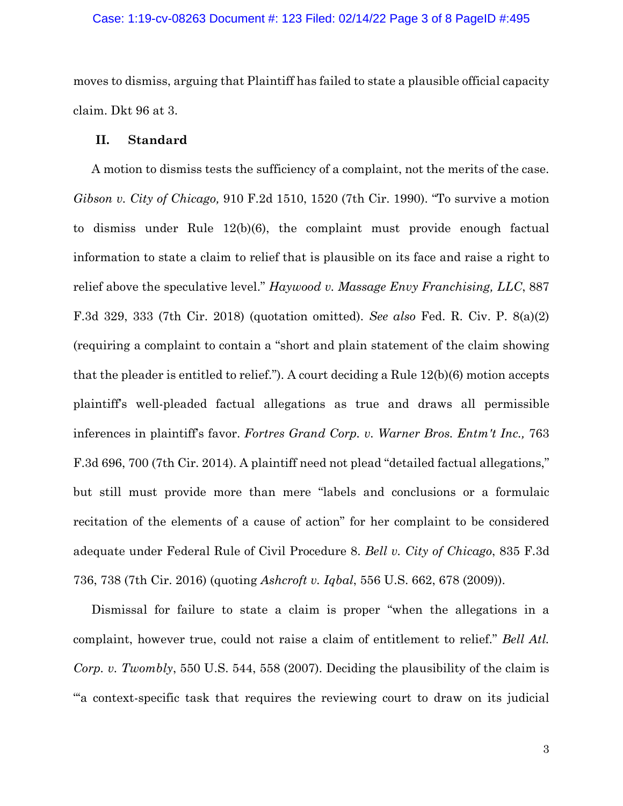#### Case: 1:19-cv-08263 Document #: 123 Filed: 02/14/22 Page 3 of 8 PageID #:495

moves to dismiss, arguing that Plaintiff has failed to state a plausible official capacity claim. Dkt 96 at 3.

## **II. Standard**

A motion to dismiss tests the sufficiency of a complaint, not the merits of the case. *Gibson v. City of Chicago,* 910 F.2d 1510, 1520 (7th Cir. 1990). "To survive a motion to dismiss under Rule 12(b)(6), the complaint must provide enough factual information to state a claim to relief that is plausible on its face and raise a right to relief above the speculative level." *Haywood v. Massage Envy Franchising, LLC*, 887 F.3d 329, 333 (7th Cir. 2018) (quotation omitted). *See also* Fed. R. Civ. P. 8(a)(2) (requiring a complaint to contain a "short and plain statement of the claim showing that the pleader is entitled to relief."). A court deciding a Rule 12(b)(6) motion accepts plaintiff's well-pleaded factual allegations as true and draws all permissible inferences in plaintiff's favor. *Fortres Grand Corp. v. Warner Bros. Entm't Inc.,* 763 F.3d 696, 700 (7th Cir. 2014). A plaintiff need not plead "detailed factual allegations," but still must provide more than mere "labels and conclusions or a formulaic recitation of the elements of a cause of action" for her complaint to be considered adequate under Federal Rule of Civil Procedure 8. *Bell v. City of Chicago*, 835 F.3d 736, 738 (7th Cir. 2016) (quoting *Ashcroft v. Iqbal*, 556 U.S. 662, 678 (2009)).

Dismissal for failure to state a claim is proper "when the allegations in a complaint, however true, could not raise a claim of entitlement to relief." *Bell Atl. Corp. v. Twombly*, 550 U.S. 544, 558 (2007). Deciding the plausibility of the claim is "'a context-specific task that requires the reviewing court to draw on its judicial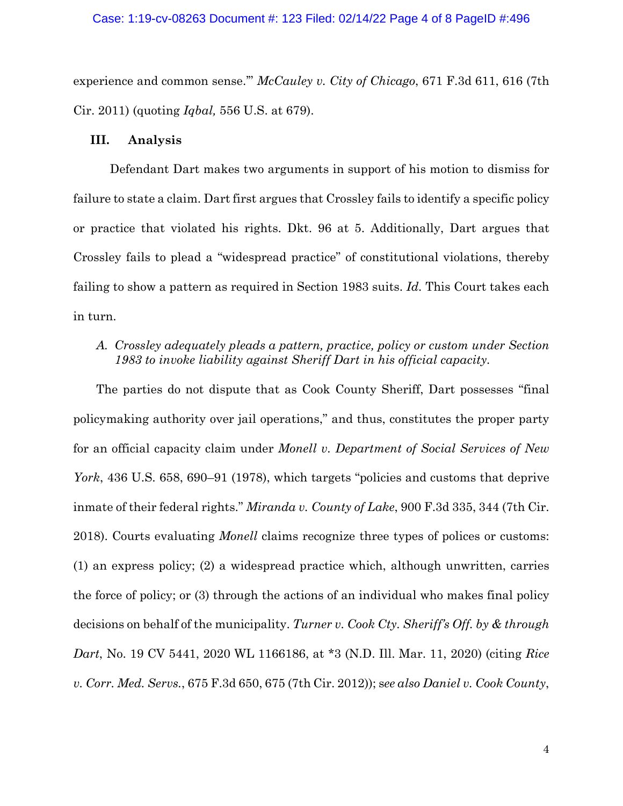#### Case: 1:19-cv-08263 Document #: 123 Filed: 02/14/22 Page 4 of 8 PageID #:496

experience and common sense.'" *McCauley v. City of Chicago*, 671 F.3d 611, 616 (7th Cir. 2011) (quoting *Iqbal,* 556 U.S. at 679).

### **III. Analysis**

Defendant Dart makes two arguments in support of his motion to dismiss for failure to state a claim. Dart first argues that Crossley fails to identify a specific policy or practice that violated his rights. Dkt. 96 at 5. Additionally, Dart argues that Crossley fails to plead a "widespread practice" of constitutional violations, thereby failing to show a pattern as required in Section 1983 suits. *Id.* This Court takes each in turn.

# *A. Crossley adequately pleads a pattern, practice, policy or custom under Section 1983 to invoke liability against Sheriff Dart in his official capacity.*

The parties do not dispute that as Cook County Sheriff, Dart possesses "final policymaking authority over jail operations," and thus, constitutes the proper party for an official capacity claim under *Monell v. Department of Social Services of New York*, 436 U.S. 658, 690–91 (1978), which targets "policies and customs that deprive inmate of their federal rights." *Miranda v. County of Lake*, 900 F.3d 335, 344 (7th Cir. 2018). Courts evaluating *Monell* claims recognize three types of polices or customs: (1) an express policy; (2) a widespread practice which, although unwritten, carries the force of policy; or (3) through the actions of an individual who makes final policy decisions on behalf of the municipality. *Turner v. Cook Cty. Sheriff's Off. by & through Dart*, No. 19 CV 5441, 2020 WL 1166186, at \*3 (N.D. Ill. Mar. 11, 2020) (citing *Rice v. Corr. Med. Servs.*, 675 F.3d 650, 675 (7th Cir. 2012)); s*ee also Daniel v. Cook County*,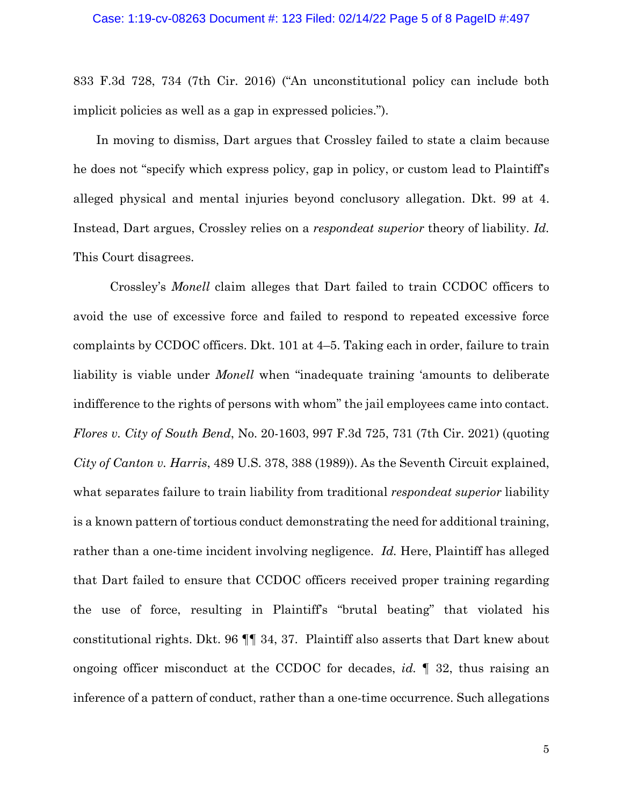833 F.3d 728, 734 (7th Cir. 2016) ("An unconstitutional policy can include both implicit policies as well as a gap in expressed policies.").

In moving to dismiss, Dart argues that Crossley failed to state a claim because he does not "specify which express policy, gap in policy, or custom lead to Plaintiff's alleged physical and mental injuries beyond conclusory allegation. Dkt. 99 at 4. Instead, Dart argues, Crossley relies on a *respondeat superior* theory of liability*. Id.*  This Court disagrees.

Crossley's *Monell* claim alleges that Dart failed to train CCDOC officers to avoid the use of excessive force and failed to respond to repeated excessive force complaints by CCDOC officers. Dkt. 101 at 4–5. Taking each in order, failure to train liability is viable under *Monell* when "inadequate training 'amounts to deliberate indifference to the rights of persons with whom" the jail employees came into contact. *Flores v. City of South Bend*, No. 20-1603, 997 F.3d 725, 731 (7th Cir. 2021) (quoting *City of Canton v. Harris*, 489 U.S. 378, 388 (1989)). As the Seventh Circuit explained, what separates failure to train liability from traditional *respondeat superior* liability is a known pattern of tortious conduct demonstrating the need for additional training, rather than a one-time incident involving negligence. *Id.* Here, Plaintiff has alleged that Dart failed to ensure that CCDOC officers received proper training regarding the use of force, resulting in Plaintiff's "brutal beating" that violated his constitutional rights. Dkt. 96 ¶¶ 34, 37. Plaintiff also asserts that Dart knew about ongoing officer misconduct at the CCDOC for decades, *id.* ¶ 32, thus raising an inference of a pattern of conduct, rather than a one-time occurrence. Such allegations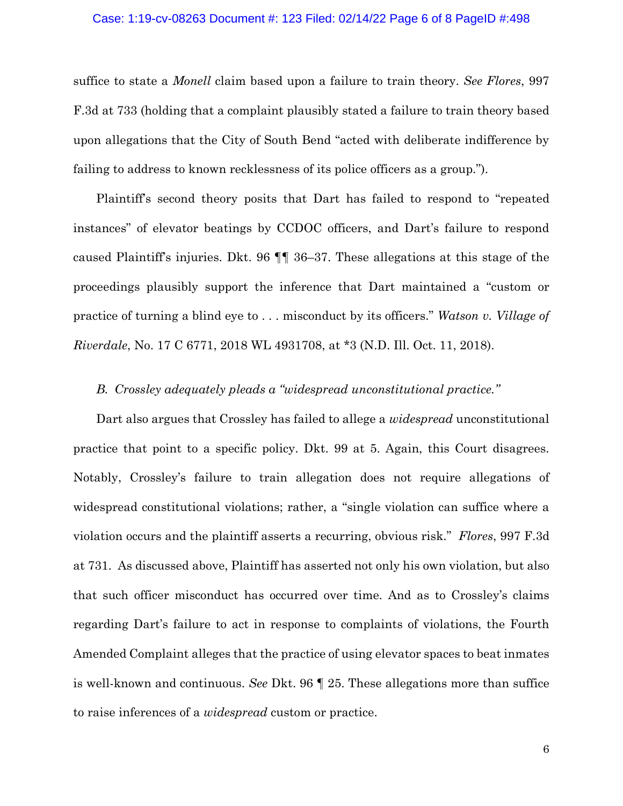#### Case: 1:19-cv-08263 Document #: 123 Filed: 02/14/22 Page 6 of 8 PageID #:498

suffice to state a *Monell* claim based upon a failure to train theory. *See Flores*, 997 F.3d at 733 (holding that a complaint plausibly stated a failure to train theory based upon allegations that the City of South Bend "acted with deliberate indifference by failing to address to known recklessness of its police officers as a group.").

Plaintiff's second theory posits that Dart has failed to respond to "repeated instances" of elevator beatings by CCDOC officers, and Dart's failure to respond caused Plaintiff's injuries. Dkt. 96 ¶¶ 36–37. These allegations at this stage of the proceedings plausibly support the inference that Dart maintained a "custom or practice of turning a blind eye to . . . misconduct by its officers." *Watson v. Village of Riverdale*, No. 17 C 6771, 2018 WL 4931708, at \*3 (N.D. Ill. Oct. 11, 2018).

### *B. Crossley adequately pleads a "widespread unconstitutional practice."*

Dart also argues that Crossley has failed to allege a *widespread* unconstitutional practice that point to a specific policy. Dkt. 99 at 5. Again, this Court disagrees. Notably, Crossley's failure to train allegation does not require allegations of widespread constitutional violations; rather, a "single violation can suffice where a violation occurs and the plaintiff asserts a recurring, obvious risk." *Flores*, 997 F.3d at 731. As discussed above, Plaintiff has asserted not only his own violation, but also that such officer misconduct has occurred over time. And as to Crossley's claims regarding Dart's failure to act in response to complaints of violations, the Fourth Amended Complaint alleges that the practice of using elevator spaces to beat inmates is well-known and continuous. *See* Dkt. 96 ¶ 25. These allegations more than suffice to raise inferences of a *widespread* custom or practice.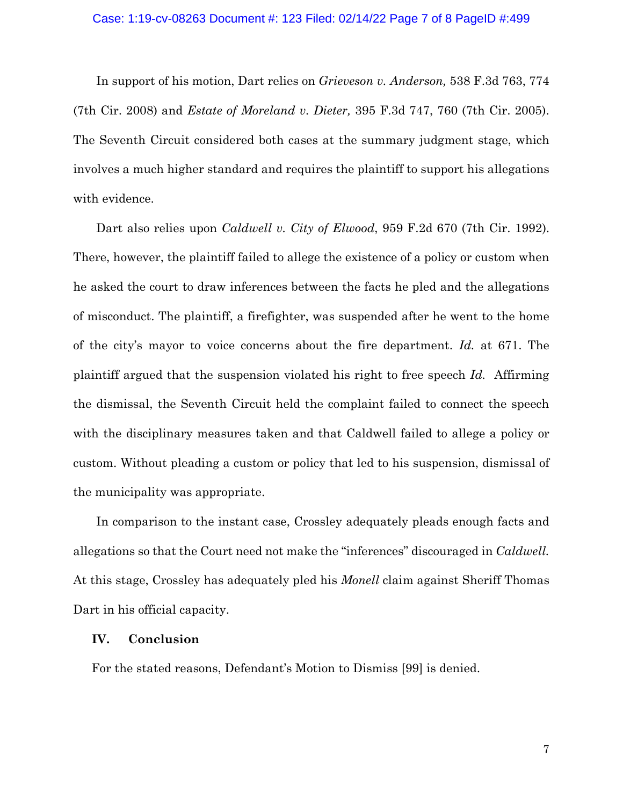In support of his motion, Dart relies on *Grieveson v. Anderson,* 538 F.3d 763, 774 (7th Cir. 2008) and *Estate of Moreland v. Dieter,* 395 F.3d 747, 760 (7th Cir. 2005). The Seventh Circuit considered both cases at the summary judgment stage, which involves a much higher standard and requires the plaintiff to support his allegations with evidence.

Dart also relies upon *Caldwell v. City of Elwood*, 959 F.2d 670 (7th Cir. 1992). There, however, the plaintiff failed to allege the existence of a policy or custom when he asked the court to draw inferences between the facts he pled and the allegations of misconduct. The plaintiff, a firefighter, was suspended after he went to the home of the city's mayor to voice concerns about the fire department. *Id.* at 671. The plaintiff argued that the suspension violated his right to free speech *Id.* Affirming the dismissal, the Seventh Circuit held the complaint failed to connect the speech with the disciplinary measures taken and that Caldwell failed to allege a policy or custom. Without pleading a custom or policy that led to his suspension, dismissal of the municipality was appropriate.

In comparison to the instant case, Crossley adequately pleads enough facts and allegations so that the Court need not make the "inferences" discouraged in *Caldwell.*  At this stage, Crossley has adequately pled his *Monell* claim against Sheriff Thomas Dart in his official capacity.

### **IV. Conclusion**

For the stated reasons, Defendant's Motion to Dismiss [99] is denied.